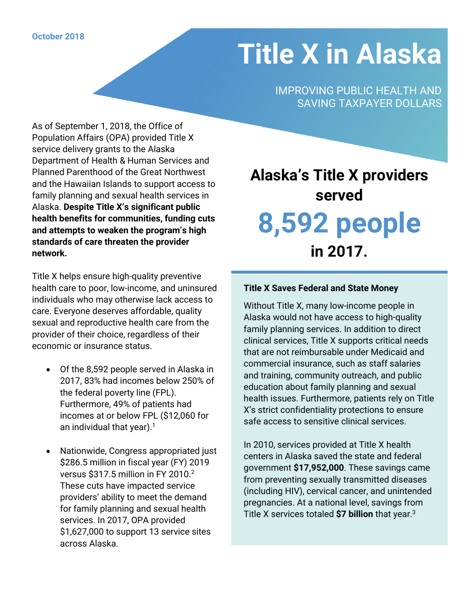## **Title X in Alaska**

IMPROVING PUBLIC HEALTH AND SAVING TAXPAYER DOLLARS

As of September 1, 2018, the Office of Population Affairs (OPA) provided Title X service delivery grants to the Alaska Department of Health & Human Services and Planned Parenthood of the Great Northwest and the Hawaiian Islands to support access to family planning and sexual health services in Alaska. **Despite Title X's significant public health benefits for communities, funding cuts and attempts to weaken the program's high standards of care threaten the provider network.** 

Title X helps ensure high-quality preventive health care to poor, low-income, and uninsured individuals who may otherwise lack access to care. Everyone deserves affordable, quality sexual and reproductive health care from the provider of their choice, regardless of their economic or insurance status.

- Of the 8,592 people served in Alaska in 2017, 83% had incomes below 250% of the federal poverty line (FPL). Furthermore, 49% of patients had incomes at or below FPL (\$12,060 for an individual that year).<sup>1</sup>
- Nationwide, Congress appropriated just \$286.5 million in fiscal year (FY) 2019 versus \$317.5 million in FY 2010.<sup>2</sup> These cuts have impacted service providers' ability to meet the demand for family planning and sexual health services. In 2017, OPA provided \$1,627,000 to support 13 service sites across Alaska.

**Alaska's Title X providers served 8,592 people in 2017.**

## **Title X Saves Federal and State Money**

Without Title X, many low-income people in Alaska would not have access to high-quality family planning services. In addition to direct clinical services, Title X supports critical needs that are not reimbursable under Medicaid and commercial insurance, such as staff salaries and training, community outreach, and public education about family planning and sexual health issues. Furthermore, patients rely on Title X's strict confidentiality protections to ensure safe access to sensitive clinical services.

In 2010, services provided at Title X health centers in Alaska saved the state and federal government **\$17,952,000**. These savings came from preventing sexually transmitted diseases (including HIV), cervical cancer, and unintended pregnancies. At a national level, savings from Title X services totaled **\$7 billion** that year.<sup>3</sup>